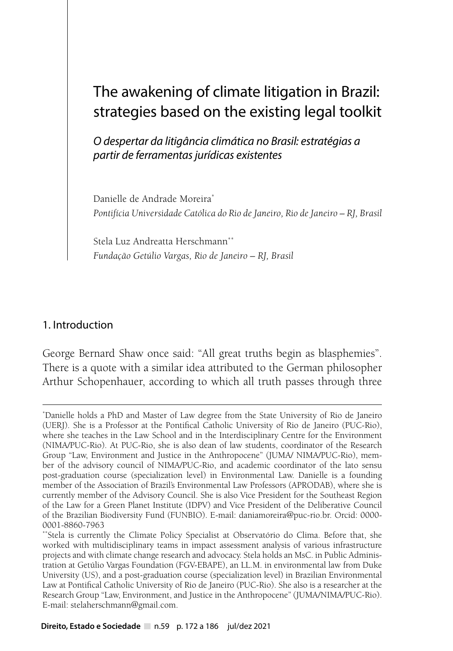# The awakening of climate litigation in Brazil: strategies based on the existing legal toolkit

*O despertar da litigância climática no Brasil: estratégias a partir de ferramentas jurídicas existentes*

Danielle de Andrade Moreira\* *Pontifícia Universidade Católica do Rio de Janeiro, Rio de Janeiro – RJ, Brasil*

Stela Luz Andreatta Herschmann<sup>\*\*</sup> *Fundação Getúlio Vargas, Rio de Janeiro – RJ, Brasil*

## 1. Introduction

George Bernard Shaw once said: "All great truths begin as blasphemies". There is a quote with a similar idea attributed to the German philosopher Arthur Schopenhauer, according to which all truth passes through three

<sup>\*</sup> Danielle holds a PhD and Master of Law degree from the State University of Rio de Janeiro (UERJ). She is a Professor at the Pontifical Catholic University of Rio de Janeiro (PUC-Rio), where she teaches in the Law School and in the Interdisciplinary Centre for the Environment (NIMA/PUC-Rio). At PUC-Rio, she is also dean of law students, coordinator of the Research Group "Law, Environment and Justice in the Anthropocene" (JUMA/ NIMA/PUC-Rio), member of the advisory council of NIMA/PUC-Rio, and academic coordinator of the lato sensu post-graduation course (specialization level) in Environmental Law. Danielle is a founding member of the Association of Brazil's Environmental Law Professors (APRODAB), where she is currently member of the Advisory Council. She is also Vice President for the Southeast Region of the Law for a Green Planet Institute (IDPV) and Vice President of the Deliberative Council of the Brazilian Biodiversity Fund (FUNBIO). E-mail: daniamoreira@puc-rio.br. Orcid: 0000- 0001-8860-7963

<sup>\*\*</sup>Stela is currently the Climate Policy Specialist at Observatório do Clima. Before that, she worked with multidisciplinary teams in impact assessment analysis of various infrastructure projects and with climate change research and advocacy. Stela holds an MsC. in Public Administration at Getúlio Vargas Foundation (FGV-EBAPE), an LL.M. in environmental law from Duke University (US), and a post-graduation course (specialization level) in Brazilian Environmental Law at Pontifical Catholic University of Rio de Janeiro (PUC-Rio). She also is a researcher at the Research Group "Law, Environment, and Justice in the Anthropocene" (JUMA/NIMA/PUC-Rio). E-mail: stelaherschmann@gmail.com.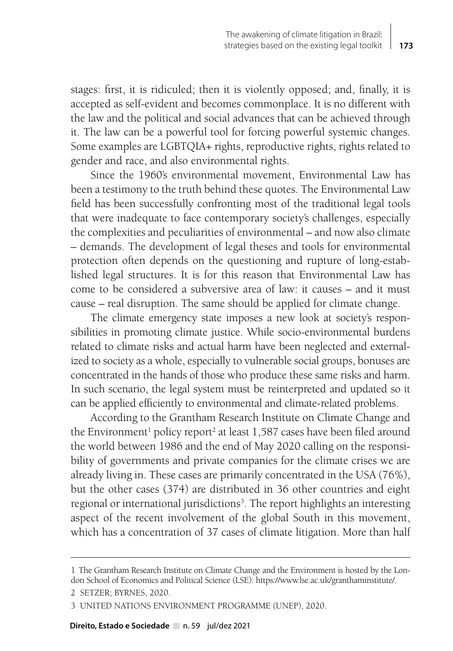stages: first, it is ridiculed; then it is violently opposed; and, finally, it is accepted as self-evident and becomes commonplace. It is no different with the law and the political and social advances that can be achieved through it. The law can be a powerful tool for forcing powerful systemic changes. Some examples are LGBTQIA+ rights, reproductive rights, rights related to gender and race, and also environmental rights.

Since the 1960's environmental movement, Environmental Law has been a testimony to the truth behind these quotes. The Environmental Law field has been successfully confronting most of the traditional legal tools that were inadequate to face contemporary society's challenges, especially the complexities and peculiarities of environmental – and now also climate – demands. The development of legal theses and tools for environmental protection often depends on the questioning and rupture of long-established legal structures. It is for this reason that Environmental Law has come to be considered a subversive area of law: it causes – and it must cause – real disruption. The same should be applied for climate change.

The climate emergency state imposes a new look at society's responsibilities in promoting climate justice. While socio-environmental burdens related to climate risks and actual harm have been neglected and externalized to society as a whole, especially to vulnerable social groups, bonuses are concentrated in the hands of those who produce these same risks and harm. In such scenario, the legal system must be reinterpreted and updated so it can be applied efficiently to environmental and climate-related problems.

According to the Grantham Research Institute on Climate Change and the Environment<sup>1</sup> policy report<sup>2</sup> at least 1,587 cases have been filed around the world between 1986 and the end of May 2020 calling on the responsibility of governments and private companies for the climate crises we are already living in. These cases are primarily concentrated in the USA (76%), but the other cases (374) are distributed in 36 other countries and eight regional or international jurisdictions<sup>3</sup>. The report highlights an interesting aspect of the recent involvement of the global South in this movement, which has a concentration of 37 cases of climate litigation. More than half

<sup>1</sup> The Grantham Research Institute on Climate Change and the Environment is hosted by the London School of Economics and Political Science (LSE):<https://www.lse.ac.uk/granthaminstitute/>.

<sup>2</sup> SETZER; BYRNES, 2020.

<sup>3</sup> UNITED NATIONS ENVIRONMENT PROGRAMME (UNEP), 2020.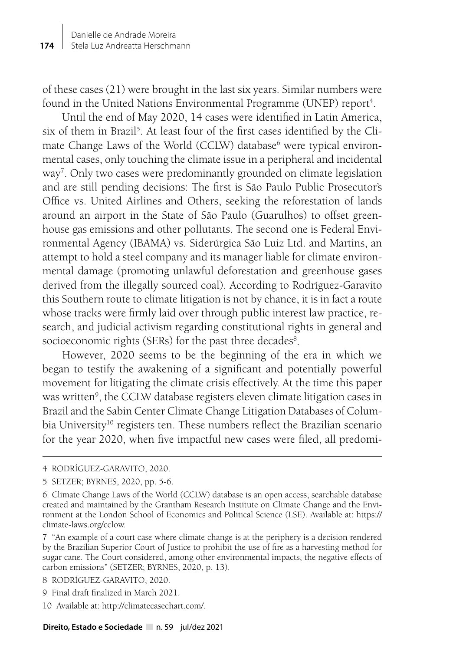of these cases (21) were brought in the last six years. Similar numbers were found in the United Nations Environmental Programme (UNEP) report<sup>4</sup>.

Until the end of May 2020, 14 cases were identified in Latin America, six of them in Brazil<sup>5</sup>. At least four of the first cases identified by the Climate Change Laws of the World (CCLW) database<sup>6</sup> were typical environmental cases, only touching the climate issue in a peripheral and incidental way<sup>7</sup>. Only two cases were predominantly grounded on climate legislation and are still pending decisions: The first is São Paulo Public Prosecutor's Office vs. United Airlines and Others, seeking the reforestation of lands around an airport in the State of São Paulo (Guarulhos) to offset greenhouse gas emissions and other pollutants. The second one is Federal Environmental Agency (IBAMA) vs. Siderúrgica São Luiz Ltd. and Martins, an attempt to hold a steel company and its manager liable for climate environmental damage (promoting unlawful deforestation and greenhouse gases derived from the illegally sourced coal). According to Rodríguez-Garavito this Southern route to climate litigation is not by chance, it is in fact a route whose tracks were firmly laid over through public interest law practice, research, and judicial activism regarding constitutional rights in general and socioeconomic rights (SERs) for the past three decades<sup>8</sup>.

However, 2020 seems to be the beginning of the era in which we began to testify the awakening of a significant and potentially powerful movement for litigating the climate crisis effectively. At the time this paper was written<sup>9</sup>, the CCLW database registers eleven climate litigation cases in Brazil and the Sabin Center Climate Change Litigation Databases of Columbia University<sup>10</sup> registers ten. These numbers reflect the Brazilian scenario for the year 2020, when five impactful new cases were filed, all predomi-

- 9 Final draft finalized in March 2021.
- 10 Available at:<http://climatecasechart.com/>.

**Direito, Estado e Sociedade** n. 59 jul/dez 2021

<sup>4</sup> RODRÍGUEZ-GARAVITO, 2020.

<sup>5</sup> SETZER; BYRNES, 2020, pp. 5-6.

<sup>6</sup> Climate Change Laws of the World (CCLW) database is an open access, searchable database created and maintained by the Grantham Research Institute on Climate Change and the Environment at the London School of Economics and Political Science (LSE). Available at: [https://](https://climate-laws.org/cclow) [climate-laws.org/cclow.](https://climate-laws.org/cclow)

<sup>7 &</sup>quot;An example of a court case where climate change is at the periphery is a decision rendered by the Brazilian Superior Court of Justice to prohibit the use of fire as a harvesting method for sugar cane. The Court considered, among other environmental impacts, the negative effects of carbon emissions" (SETZER; BYRNES, 2020, p. 13).

<sup>8</sup> RODRÍGUEZ-GARAVITO, 2020.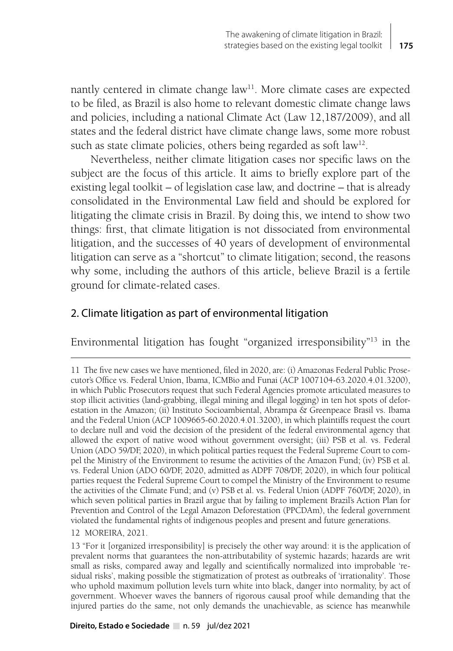nantly centered in climate change law<sup>11</sup>. More climate cases are expected to be filed, as Brazil is also home to relevant domestic climate change laws and policies, including a national Climate Act (Law 12,187/2009), and all states and the federal district have climate change laws, some more robust such as state climate policies, others being regarded as soft law<sup>12</sup>.

Nevertheless, neither climate litigation cases nor specific laws on the subject are the focus of this article. It aims to briefly explore part of the existing legal toolkit – of legislation case law, and doctrine – that is already consolidated in the Environmental Law field and should be explored for litigating the climate crisis in Brazil. By doing this, we intend to show two things: first, that climate litigation is not dissociated from environmental litigation, and the successes of 40 years of development of environmental litigation can serve as a "shortcut" to climate litigation; second, the reasons why some, including the authors of this article, believe Brazil is a fertile ground for climate-related cases.

### 2. Climate litigation as part of environmental litigation

Environmental litigation has fought "organized irresponsibility"13 in the

12 MOREIRA, 2021.

<sup>11</sup> The five new cases we have mentioned, filed in 2020, are: (i) Amazonas Federal Public Prosecutor's Office vs. Federal Union, Ibama, ICMBio and Funai (ACP 1007104-63.2020.4.01.3200), in which Public Prosecutors request that such Federal Agencies promote articulated measures to stop illicit activities (land-grabbing, illegal mining and illegal logging) in ten hot spots of deforestation in the Amazon; (ii) Instituto Socioambiental, Abrampa & Greenpeace Brasil vs. Ibama and the Federal Union (ACP 1009665-60.2020.4.01.3200), in which plaintiffs request the court to declare null and void the decision of the president of the federal environmental agency that allowed the export of native wood without government oversight; (iii) PSB et al. vs. Federal Union (ADO 59/DF, 2020), in which political parties request the Federal Supreme Court to compel the Ministry of the Environment to resume the activities of the Amazon Fund; (iv) PSB et al. vs. Federal Union (ADO 60/DF, 2020, admitted as ADPF 708/DF, 2020), in which four political parties request the Federal Supreme Court to compel the Ministry of the Environment to resume the activities of the Climate Fund; and (v) PSB et al. vs. Federal Union (ADPF 760/DF, 2020), in which seven political parties in Brazil argue that by failing to implement Brazil's Action Plan for Prevention and Control of the Legal Amazon Deforestation (PPCDAm), the federal government violated the fundamental rights of indigenous peoples and present and future generations.

<sup>13 &</sup>quot;For it [organized irresponsibility] is precisely the other way around: it is the application of prevalent norms that guarantees the non-attributability of systemic hazards; hazards are writ small as risks, compared away and legally and scientifically normalized into improbable 'residual risks', making possible the stigmatization of protest as outbreaks of 'irrationality'. Those who uphold maximum pollution levels turn white into black, danger into normality, by act of government. Whoever waves the banners of rigorous causal proof while demanding that the injured parties do the same, not only demands the unachievable, as science has meanwhile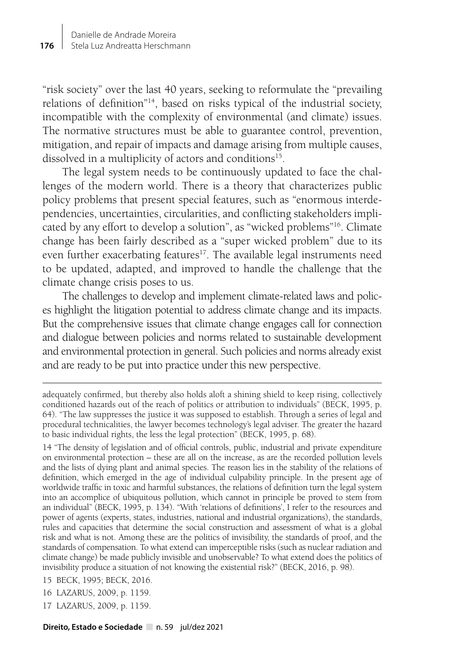"risk society" over the last 40 years, seeking to reformulate the "prevailing relations of definition"14, based on risks typical of the industrial society, incompatible with the complexity of environmental (and climate) issues. The normative structures must be able to guarantee control, prevention, mitigation, and repair of impacts and damage arising from multiple causes, dissolved in a multiplicity of actors and conditions<sup>15</sup>.

The legal system needs to be continuously updated to face the challenges of the modern world. There is a theory that characterizes public policy problems that present special features, such as "enormous interdependencies, uncertainties, circularities, and conflicting stakeholders implicated by any effort to develop a solution", as "wicked problems"16. Climate change has been fairly described as a "super wicked problem" due to its even further exacerbating features<sup>17</sup>. The available legal instruments need to be updated, adapted, and improved to handle the challenge that the climate change crisis poses to us.

The challenges to develop and implement climate-related laws and polices highlight the litigation potential to address climate change and its impacts. But the comprehensive issues that climate change engages call for connection and dialogue between policies and norms related to sustainable development and environmental protection in general. Such policies and norms already exist and are ready to be put into practice under this new perspective.

17 LAZARUS, 2009, p. 1159.

adequately confirmed, but thereby also holds aloft a shining shield to keep rising, collectively conditioned hazards out of the reach of politics or attribution to individuals" (BECK, 1995, p. 64). "The law suppresses the justice it was supposed to establish. Through a series of legal and procedural technicalities, the lawyer becomes technology's legal adviser. The greater the hazard to basic individual rights, the less the legal protection" (BECK, 1995, p. 68).

<sup>14 &</sup>quot;The density of legislation and of official controls, public, industrial and private expenditure on environmental protection – these are all on the increase, as are the recorded pollution levels and the lists of dying plant and animal species. The reason lies in the stability of the relations of definition, which emerged in the age of individual culpability principle. In the present age of worldwide traffic in toxic and harmful substances, the relations of definition turn the legal system into an accomplice of ubiquitous pollution, which cannot in principle be proved to stem from an individual" (BECK, 1995, p. 134). "With 'relations of definitions', I refer to the resources and power of agents (experts, states, industries, national and industrial organizations), the standards, rules and capacities that determine the social construction and assessment of what is a global risk and what is not. Among these are the politics of invisibility, the standards of proof, and the standards of compensation. To what extend can imperceptible risks (such as nuclear radiation and climate change) be made publicly invisible and unobservable? To what extend does the politics of invisibility produce a situation of not knowing the existential risk?" (BECK, 2016, p. 98).

<sup>15</sup> BECK, 1995; BECK, 2016.

<sup>16</sup> LAZARUS, 2009, p. 1159.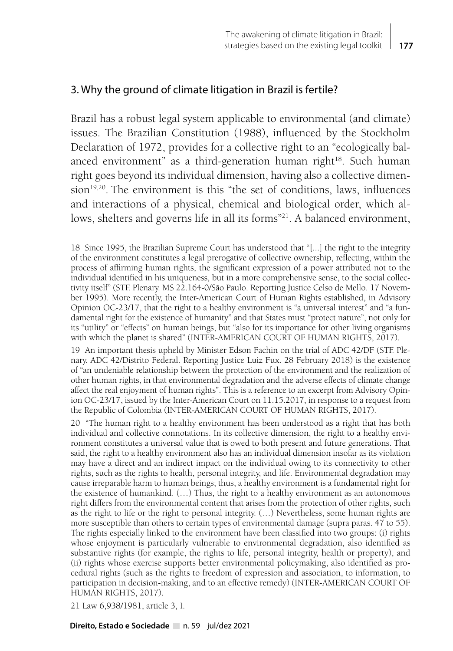# 3. Why the ground of climate litigation in Brazil is fertile?

Brazil has a robust legal system applicable to environmental (and climate) issues. The Brazilian Constitution (1988), influenced by the Stockholm Declaration of 1972, provides for a collective right to an "ecologically balanced environment" as a third-generation human right<sup>18</sup>. Such human right goes beyond its individual dimension, having also a collective dimension<sup>19,20</sup>. The environment is this "the set of conditions, laws, influences and interactions of a physical, chemical and biological order, which allows, shelters and governs life in all its forms"<sup>21</sup>. A balanced environment,

19 An important thesis upheld by Minister Edson Fachin on the trial of ADC 42/DF (STF. Plenary. ADC 42/Distrito Federal. Reporting Justice Luiz Fux. 28 February 2018) is the existence of "an undeniable relationship between the protection of the environment and the realization of other human rights, in that environmental degradation and the adverse effects of climate change affect the real enjoyment of human rights". This is a reference to an excerpt from Advisory Opinion OC-23/17, issued by the Inter-American Court on 11.15.2017, in response to a request from the Republic of Colombia (INTER-AMERICAN COURT OF HUMAN RIGHTS, 2017).

20 "The human right to a healthy environment has been understood as a right that has both individual and collective connotations. In its collective dimension, the right to a healthy environment constitutes a universal value that is owed to both present and future generations. That said, the right to a healthy environment also has an individual dimension insofar as its violation may have a direct and an indirect impact on the individual owing to its connectivity to other rights, such as the rights to health, personal integrity, and life. Environmental degradation may cause irreparable harm to human beings; thus, a healthy environment is a fundamental right for the existence of humankind. (…) Thus, the right to a healthy environment as an autonomous right differs from the environmental content that arises from the protection of other rights, such as the right to life or the right to personal integrity. (…) Nevertheless, some human rights are more susceptible than others to certain types of environmental damage (supra paras. 47 to 55). The rights especially linked to the environment have been classified into two groups: (i) rights whose enjoyment is particularly vulnerable to environmental degradation, also identified as substantive rights (for example, the rights to life, personal integrity, health or property), and (ii) rights whose exercise supports better environmental policymaking, also identified as procedural rights (such as the rights to freedom of expression and association, to information, to participation in decision-making, and to an effective remedy) (INTER-AMERICAN COURT OF HUMAN RIGHTS, 2017).

21 Law 6,938/1981, article 3, I.

<sup>18</sup> Since 1995, the Brazilian Supreme Court has understood that "[...] the right to the integrity of the environment constitutes a legal prerogative of collective ownership, reflecting, within the process of affirming human rights, the significant expression of a power attributed not to the individual identified in his uniqueness, but in a more comprehensive sense, to the social collectivity itself" (STF. Plenary. MS 22.164-0/São Paulo. Reporting Justice Celso de Mello. 17 November 1995). More recently, the Inter-American Court of Human Rights established, in Advisory Opinion OC-23/17, that the right to a healthy environment is "a universal interest" and "a fundamental right for the existence of humanity" and that States must "protect nature", not only for its "utility" or "effects" on human beings, but "also for its importance for other living organisms with which the planet is shared" (INTER-AMERICAN COURT OF HUMAN RIGHTS, 2017).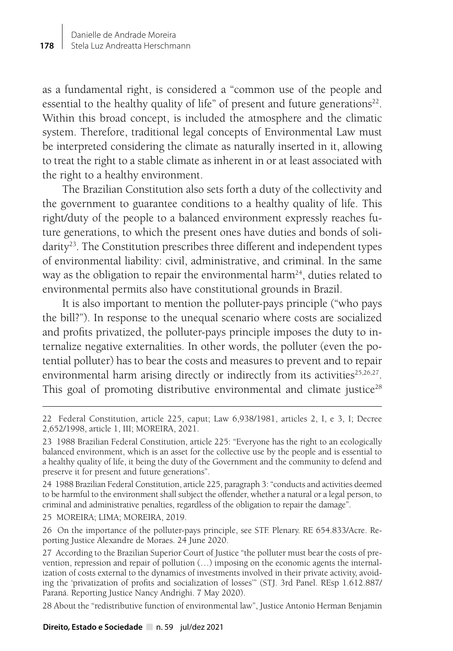as a fundamental right, is considered a "common use of the people and essential to the healthy quality of life" of present and future generations<sup>22</sup>. Within this broad concept, is included the atmosphere and the climatic system. Therefore, traditional legal concepts of Environmental Law must be interpreted considering the climate as naturally inserted in it, allowing to treat the right to a stable climate as inherent in or at least associated with the right to a healthy environment.

The Brazilian Constitution also sets forth a duty of the collectivity and the government to guarantee conditions to a healthy quality of life. This right/duty of the people to a balanced environment expressly reaches future generations, to which the present ones have duties and bonds of solidarity<sup>23</sup>. The Constitution prescribes three different and independent types of environmental liability: civil, administrative, and criminal. In the same way as the obligation to repair the environmental harm<sup>24</sup>, duties related to environmental permits also have constitutional grounds in Brazil.

It is also important to mention the polluter-pays principle ("who pays the bill?"). In response to the unequal scenario where costs are socialized and profits privatized, the polluter-pays principle imposes the duty to internalize negative externalities. In other words, the polluter (even the potential polluter) has to bear the costs and measures to prevent and to repair environmental harm arising directly or indirectly from its activities<sup>25,26,27</sup>. This goal of promoting distributive environmental and climate justice<sup>28</sup>

24 1988 Brazilian Federal Constitution, article 225, paragraph 3: "conducts and activities deemed to be harmful to the environment shall subject the offender, whether a natural or a legal person, to criminal and administrative penalties, regardless of the obligation to repair the damage".

25 MOREIRA; LIMA; MOREIRA, 2019.

26 On the importance of the polluter-pays principle, see STF. Plenary. RE 654.833/Acre. Reporting Justice Alexandre de Moraes. 24 June 2020.

28 About the "redistributive function of environmental law", Justice Antonio Herman Benjamin

<sup>22</sup> Federal Constitution, article 225, caput; Law 6,938/1981, articles 2, I, e 3, I; Decree 2,652/1998, article 1, III; MOREIRA, 2021.

<sup>23 1988</sup> Brazilian Federal Constitution, article 225: "Everyone has the right to an ecologically balanced environment, which is an asset for the collective use by the people and is essential to a healthy quality of life, it being the duty of the Government and the community to defend and preserve it for present and future generations".

<sup>27</sup> According to the Brazilian Superior Court of Justice "the polluter must bear the costs of prevention, repression and repair of pollution (…) imposing on the economic agents the internalization of costs external to the dynamics of investments involved in their private activity, avoiding the 'privatization of profits and socialization of losses'" (STJ. 3rd Panel. REsp 1.612.887/ Paraná. Reporting Justice Nancy Andrighi. 7 May 2020).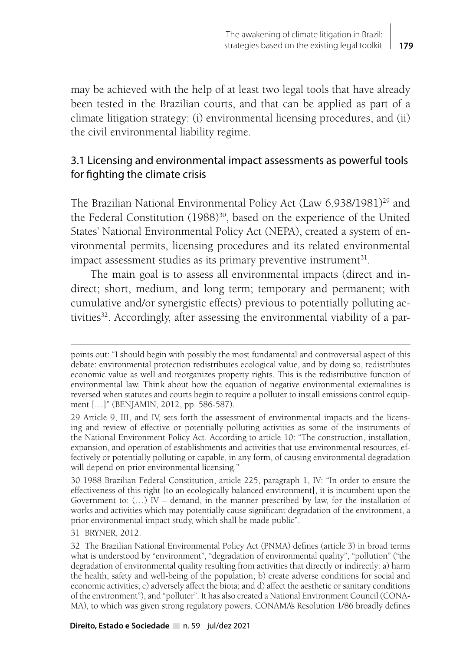may be achieved with the help of at least two legal tools that have already been tested in the Brazilian courts, and that can be applied as part of a climate litigation strategy: (i) environmental licensing procedures, and (ii) the civil environmental liability regime.

# 3.1 Licensing and environmental impact assessments as powerful tools for fighting the climate crisis

The Brazilian National Environmental Policy Act (Law 6,938/1981)<sup>29</sup> and the Federal Constitution (1988)<sup>30</sup>, based on the experience of the United States' National Environmental Policy Act (NEPA), created a system of environmental permits, licensing procedures and its related environmental impact assessment studies as its primary preventive instrument $31$ .

The main goal is to assess all environmental impacts (direct and indirect; short, medium, and long term; temporary and permanent; with cumulative and/or synergistic effects) previous to potentially polluting activities<sup>32</sup>. Accordingly, after assessing the environmental viability of a par-

31 BRYNER, 2012.

points out: "I should begin with possibly the most fundamental and controversial aspect of this debate: environmental protection redistributes ecological value, and by doing so, redistributes economic value as well and reorganizes property rights. This is the redistributive function of environmental law. Think about how the equation of negative environmental externalities is reversed when statutes and courts begin to require a polluter to install emissions control equipment […]" (BENJAMIN, 2012, pp. 586-587).

<sup>29</sup> Article 9, III, and IV, sets forth the assessment of environmental impacts and the licensing and review of effective or potentially polluting activities as some of the instruments of the National Environment Policy Act. According to article 10: "The construction, installation, expansion, and operation of establishments and activities that use environmental resources, effectively or potentially polluting or capable, in any form, of causing environmental degradation will depend on prior environmental licensing."

<sup>30 1988</sup> Brazilian Federal Constitution, article 225, paragraph 1, IV: "In order to ensure the effectiveness of this right [to an ecologically balanced environment], it is incumbent upon the Government to:  $(...)$  IV – demand, in the manner prescribed by law, for the installation of works and activities which may potentially cause significant degradation of the environment, a prior environmental impact study, which shall be made public".

<sup>32</sup> The Brazilian National Environmental Policy Act (PNMA) defines (article 3) in broad terms what is understood by "environment", "degradation of environmental quality", "pollution" ("the degradation of environmental quality resulting from activities that directly or indirectly: a) harm the health, safety and well-being of the population; b) create adverse conditions for social and economic activities; c) adversely affect the biota; and d) affect the aesthetic or sanitary conditions of the environment"), and "polluter". It has also created a National Environment Council (CONA-MA), to which was given strong regulatory powers. CONAMA's Resolution 1/86 broadly defines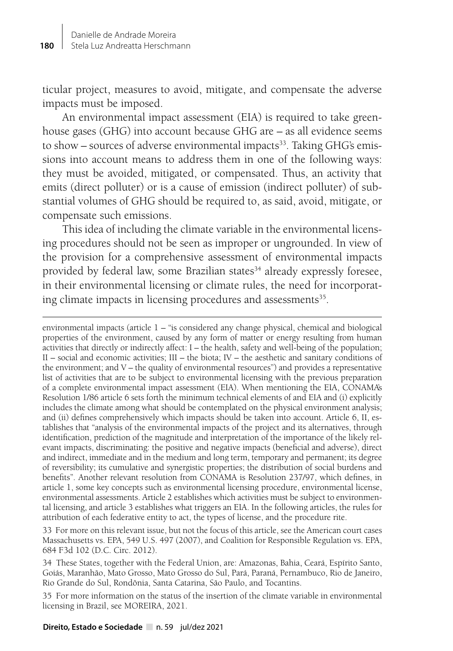ticular project, measures to avoid, mitigate, and compensate the adverse impacts must be imposed.

An environmental impact assessment (EIA) is required to take greenhouse gases (GHG) into account because GHG are – as all evidence seems to show  $-$  sources of adverse environmental impacts<sup>33</sup>. Taking GHG's emissions into account means to address them in one of the following ways: they must be avoided, mitigated, or compensated. Thus, an activity that emits (direct polluter) or is a cause of emission (indirect polluter) of substantial volumes of GHG should be required to, as said, avoid, mitigate, or compensate such emissions.

This idea of including the climate variable in the environmental licensing procedures should not be seen as improper or ungrounded. In view of the provision for a comprehensive assessment of environmental impacts provided by federal law, some Brazilian states<sup>34</sup> already expressly foresee, in their environmental licensing or climate rules, the need for incorporating climate impacts in licensing procedures and assessments<sup>35</sup>.

environmental impacts (article 1 – "is considered any change physical, chemical and biological properties of the environment, caused by any form of matter or energy resulting from human activities that directly or indirectly affect: I – the health, safety and well-being of the population; II – social and economic activities; III – the biota; IV – the aesthetic and sanitary conditions of the environment; and V – the quality of environmental resources") and provides a representative list of activities that are to be subject to environmental licensing with the previous preparation of a complete environmental impact assessment (EIA). When mentioning the EIA, CONAMA's Resolution 1/86 article 6 sets forth the minimum technical elements of and EIA and (i) explicitly includes the climate among what should be contemplated on the physical environment analysis; and (ii) defines comprehensively which impacts should be taken into account. Article 6, II, establishes that "analysis of the environmental impacts of the project and its alternatives, through identification, prediction of the magnitude and interpretation of the importance of the likely relevant impacts, discriminating: the positive and negative impacts (beneficial and adverse), direct and indirect, immediate and in the medium and long term, temporary and permanent; its degree of reversibility; its cumulative and synergistic properties; the distribution of social burdens and benefits". Another relevant resolution from CONAMA is Resolution 237/97, which defines, in article 1, some key concepts such as environmental licensing procedure, environmental license, environmental assessments. Article 2 establishes which activities must be subject to environmental licensing, and article 3 establishes what triggers an EIA. In the following articles, the rules for attribution of each federative entity to act, the types of license, and the procedure rite.

33 For more on this relevant issue, but not the focus of this article, see the American court cases Massachusetts vs. EPA, 549 U.S. 497 (2007), and Coalition for Responsible Regulation vs. EPA, 684 F3d 102 (D.C. Circ. 2012).

34 These States, together with the Federal Union, are: Amazonas, Bahia, Ceará, Espírito Santo, Goiás, Maranhão, Mato Grosso, Mato Grosso do Sul, Pará, Paraná, Pernambuco, Rio de Janeiro, Rio Grande do Sul, Rondônia, Santa Catarina, São Paulo, and Tocantins.

35 For more information on the status of the insertion of the climate variable in environmental licensing in Brazil, see MOREIRA, 2021.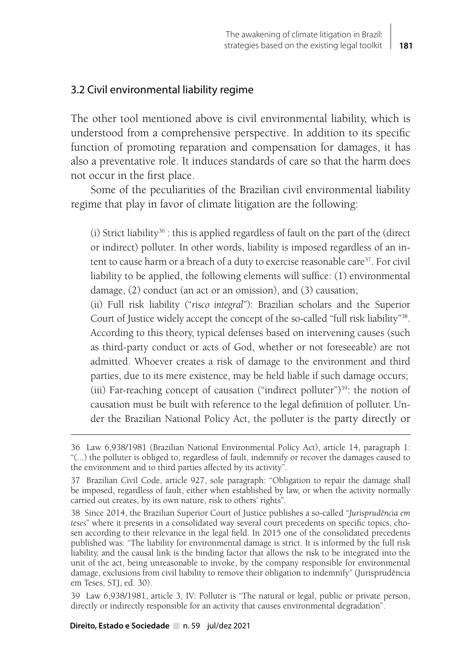# 3.2 Civil environmental liability regime

The other tool mentioned above is civil environmental liability, which is understood from a comprehensive perspective. In addition to its specific function of promoting reparation and compensation for damages, it has also a preventative role. It induces standards of care so that the harm does not occur in the first place.

Some of the peculiarities of the Brazilian civil environmental liability regime that play in favor of climate litigation are the following:

(i) Strict liability<sup>36</sup> : this is applied regardless of fault on the part of the (direct or indirect) polluter. In other words, liability is imposed regardless of an intent to cause harm or a breach of a duty to exercise reasonable care<sup>37</sup>. For civil liability to be applied, the following elements will suffice: (1) environmental damage, (2) conduct (an act or an omission), and (3) causation;

(ii) Full risk liability ("*risco integral*"): Brazilian scholars and the Superior Court of Justice widely accept the concept of the so-called "full risk liability"38. According to this theory, typical defenses based on intervening causes (such as third-party conduct or acts of God, whether or not foreseeable) are not admitted. Whoever creates a risk of damage to the environment and third parties, due to its mere existence, may be held liable if such damage occurs; (iii) Far-reaching concept of causation ("indirect polluter")<sup>39</sup>: the notion of causation must be built with reference to the legal definition of polluter. Under the Brazilian National Policy Act, the polluter is the party directly or

39 Law 6,938/1981, article 3, IV: Polluter is "The natural or legal, public or private person, directly or indirectly responsible for an activity that causes environmental degradation".

#### **Direito, Estado e Sociedade** n. 59 jul/dez 2021

<sup>36</sup> Law 6,938/1981 (Brazilian National Environmental Policy Act), article 14, paragraph 1: "(...) the polluter is obliged to, regardless of fault, indemnify or recover the damages caused to the environment and to third parties affected by its activity".

<sup>37</sup> Brazilian Civil Code, article 927, sole paragraph: "Obligation to repair the damage shall be imposed, regardless of fault, either when established by law, or when the activity normally carried out creates, by its own nature, risk to others' rights".

<sup>38</sup> Since 2014, the Brazilian Superior Court of Justice publishes a so-called "*Jurisprudência em teses*" where it presents in a consolidated way several court precedents on specific topics, chosen according to their relevance in the legal field. In 2015 one of the consolidated precedents published was: "The liability for environmental damage is strict. It is informed by the full risk liability, and the causal link is the binding factor that allows the risk to be integrated into the unit of the act, being unreasonable to invoke, by the company responsible for environmental damage, exclusions from civil liability to remove their obligation to indemnify" (Jurisprudência em Teses, STJ, ed. 30).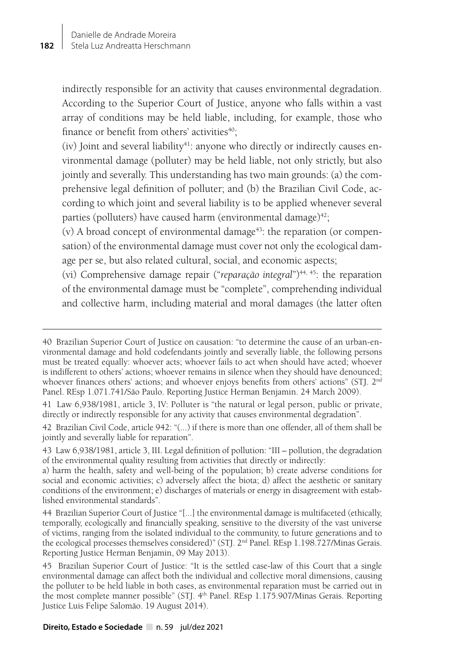indirectly responsible for an activity that causes environmental degradation. According to the Superior Court of Justice, anyone who falls within a vast array of conditions may be held liable, including, for example, those who finance or benefit from others' activities $40$ ;

(iv) Joint and several liability<sup>41</sup>: anyone who directly or indirectly causes environmental damage (polluter) may be held liable, not only strictly, but also jointly and severally. This understanding has two main grounds: (a) the comprehensive legal definition of polluter; and (b) the Brazilian Civil Code, according to which joint and several liability is to be applied whenever several parties (polluters) have caused harm (environmental damage) $42$ ;

 $(v)$  A broad concept of environmental damage<sup>43</sup>: the reparation (or compensation) of the environmental damage must cover not only the ecological damage per se, but also related cultural, social, and economic aspects;

(vi) Comprehensive damage repair ("*reparação integral*")44, 45: the reparation of the environmental damage must be "complete", comprehending individual and collective harm, including material and moral damages (the latter often

<sup>40</sup> Brazilian Superior Court of Justice on causation: "to determine the cause of an urban-environmental damage and hold codefendants jointly and severally liable, the following persons must be treated equally: whoever acts; whoever fails to act when should have acted; whoever is indifferent to others' actions; whoever remains in silence when they should have denounced; whoever finances others' actions; and whoever enjoys benefits from others' actions" (STJ. 2<sup>nd</sup> Panel. REsp 1.071.741/São Paulo. Reporting Justice Herman Benjamin. 24 March 2009).

<sup>41</sup> Law 6,938/1981, article 3, IV: Polluter is "the natural or legal person, public or private, directly or indirectly responsible for any activity that causes environmental degradation".

<sup>42</sup> Brazilian Civil Code, article 942: "(...) if there is more than one offender, all of them shall be jointly and severally liable for reparation".

<sup>43</sup> Law 6,938/1981, article 3, III. Legal definition of pollution: "III – pollution, the degradation of the environmental quality resulting from activities that directly or indirectly:

a) harm the health, safety and well-being of the population; b) create adverse conditions for social and economic activities; c) adversely affect the biota; d) affect the aesthetic or sanitary conditions of the environment; e) discharges of materials or energy in disagreement with established environmental standards".

<sup>44</sup> Brazilian Superior Court of Justice "[...] the environmental damage is multifaceted (ethically, temporally, ecologically and financially speaking, sensitive to the diversity of the vast universe of victims, ranging from the isolated individual to the community, to future generations and to the ecological processes themselves considered)" (STJ. 2nd Panel. REsp 1.198.727/Minas Gerais. Reporting Justice Herman Benjamin, 09 May 2013).

<sup>45</sup> Brazilian Superior Court of Justice: "It is the settled case-law of this Court that a single environmental damage can affect both the individual and collective moral dimensions, causing the polluter to be held liable in both cases, as environmental reparation must be carried out in the most complete manner possible" (STJ. 4<sup>th</sup> Panel. REsp 1.175.907/Minas Gerais. Reporting Justice Luis Felipe Salomão. 19 August 2014).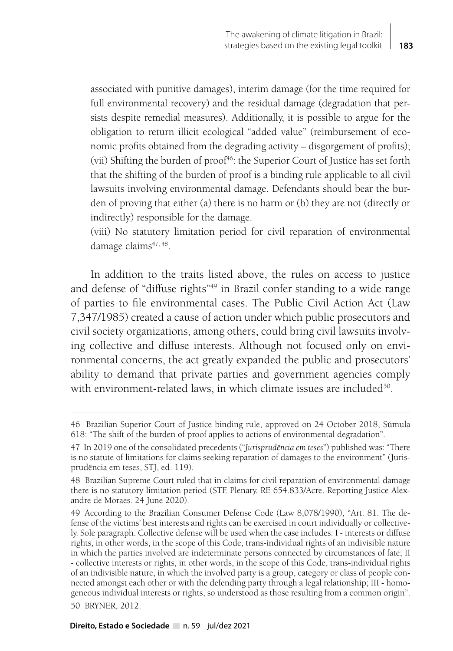associated with punitive damages), interim damage (for the time required for full environmental recovery) and the residual damage (degradation that persists despite remedial measures). Additionally, it is possible to argue for the obligation to return illicit ecological "added value" (reimbursement of economic profits obtained from the degrading activity – disgorgement of profits); (vii) Shifting the burden of proof<sup>46</sup>: the Superior Court of Justice has set forth that the shifting of the burden of proof is a binding rule applicable to all civil lawsuits involving environmental damage. Defendants should bear the burden of proving that either (a) there is no harm or (b) they are not (directly or indirectly) responsible for the damage.

(viii) No statutory limitation period for civil reparation of environmental damage claims<sup>47, 48</sup>.

In addition to the traits listed above, the rules on access to justice and defense of "diffuse rights"49 in Brazil confer standing to a wide range of parties to file environmental cases. The Public Civil Action Act (Law 7,347/1985) created a cause of action under which public prosecutors and civil society organizations, among others, could bring civil lawsuits involving collective and diffuse interests. Although not focused only on environmental concerns, the act greatly expanded the public and prosecutors' ability to demand that private parties and government agencies comply with environment-related laws, in which climate issues are included<sup>50</sup>.

<sup>46</sup> Brazilian Superior Court of Justice binding rule, approved on 24 October 2018, Súmula 618: "The shift of the burden of proof applies to actions of environmental degradation".

<sup>47</sup> In 2019 one of the consolidated precedents ("*Jurisprudência em teses*") published was: "There is no statute of limitations for claims seeking reparation of damages to the environment" (Jurisprudência em teses, STJ, ed. 119).

<sup>48</sup> Brazilian Supreme Court ruled that in claims for civil reparation of environmental damage there is no statutory limitation period (STF. Plenary. RE 654.833/Acre. Reporting Justice Alexandre de Moraes. 24 June 2020).

<sup>49</sup> According to the Brazilian Consumer Defense Code (Law 8,078/1990), "Art. 81. The defense of the victims' best interests and rights can be exercised in court individually or collectively. Sole paragraph. Collective defense will be used when the case includes: I - interests or diffuse rights, in other words, in the scope of this Code, trans-individual rights of an indivisible nature in which the parties involved are indeterminate persons connected by circumstances of fate; II - collective interests or rights, in other words, in the scope of this Code, trans-individual rights of an indivisible nature, in which the involved party is a group, category or class of people connected amongst each other or with the defending party through a legal relationship; III - homogeneous individual interests or rights, so understood as those resulting from a common origin". 50 BRYNER, 2012.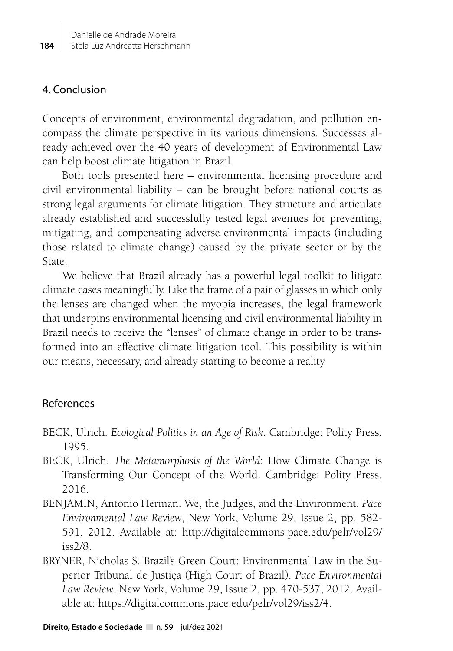# 4. Conclusion

Concepts of environment, environmental degradation, and pollution encompass the climate perspective in its various dimensions. Successes already achieved over the 40 years of development of Environmental Law can help boost climate litigation in Brazil.

Both tools presented here – environmental licensing procedure and civil environmental liability – can be brought before national courts as strong legal arguments for climate litigation. They structure and articulate already established and successfully tested legal avenues for preventing, mitigating, and compensating adverse environmental impacts (including those related to climate change) caused by the private sector or by the State.

We believe that Brazil already has a powerful legal toolkit to litigate climate cases meaningfully. Like the frame of a pair of glasses in which only the lenses are changed when the myopia increases, the legal framework that underpins environmental licensing and civil environmental liability in Brazil needs to receive the "lenses" of climate change in order to be transformed into an effective climate litigation tool. This possibility is within our means, necessary, and already starting to become a reality.

# References

- BECK, Ulrich. *Ecological Politics in an Age of Risk*. Cambridge: Polity Press, 1995.
- BECK, Ulrich. *The Metamorphosis of the World*: How Climate Change is Transforming Our Concept of the World. Cambridge: Polity Press, 2016.
- BENJAMIN, Antonio Herman. We, the Judges, and the Environment. *Pace Environmental Law Review*, New York, Volume 29, Issue 2, pp. 582- 591, 2012. Available at: http://digitalcommons.pace.edu/pelr/vol29/ iss2/8.
- BRYNER, Nicholas S. Brazil's Green Court: Environmental Law in the Superior Tribunal de Justiça (High Court of Brazil). *Pace Environmental Law Review*, New York, Volume 29, Issue 2, pp. 470-537, 2012. Available at: https://digitalcommons.pace.edu/pelr/vol29/iss2/4.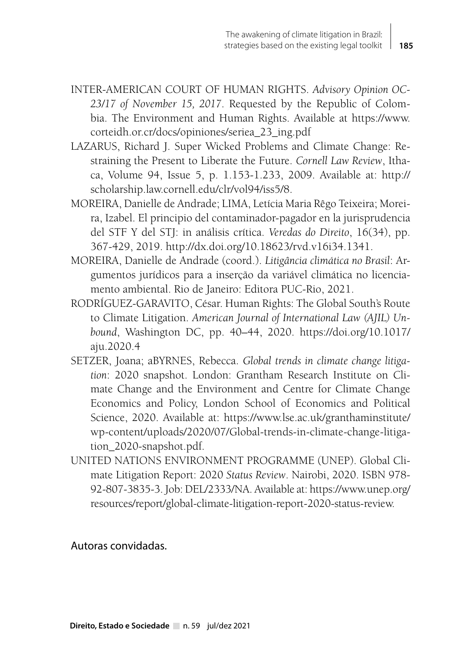- INTER-AMERICAN COURT OF HUMAN RIGHTS. *Advisory Opinion OC-23/17 of November 15, 2017*. Requested by the Republic of Colombia. The Environment and Human Rights. Available at https://www. corteidh.or.cr/docs/opiniones/seriea\_23\_ing.pdf
- LAZARUS, Richard J. Super Wicked Problems and Climate Change: Restraining the Present to Liberate the Future. *Cornell Law Review*, Ithaca, Volume 94, Issue 5, p. 1.153-1.233, 2009. Available at: http:// scholarship.law.cornell.edu/clr/vol94/iss5/8.
- MOREIRA, Danielle de Andrade; LIMA, Letícia Maria Rêgo Teixeira; Moreira, Izabel. El principio del contaminador-pagador en la jurisprudencia del STF Y del STJ: in análisis crítica. *Veredas do Direito*, 16(34), pp. 367-429, 2019. http://dx.doi.org/10.18623/rvd.v16i34.1341.
- MOREIRA, Danielle de Andrade (coord.). *Litigância climática no Brasil*: Argumentos jurídicos para a inserção da variável climática no licenciamento ambiental. Rio de Janeiro: Editora PUC-Rio, 2021.
- RODRÍGUEZ-GARAVITO, César. Human Rights: The Global South's Route to Climate Litigation. *American Journal of International Law (AJIL) Unbound*, Washington DC, pp. 40–44, 2020. https://doi.org/10.1017/ aju.2020.4
- SETZER, Joana; aBYRNES, Rebecca. *Global trends in climate change litigation*: 2020 snapshot. London: Grantham Research Institute on Climate Change and the Environment and Centre for Climate Change Economics and Policy, London School of Economics and Political Science, 2020. Available at: https://www.lse.ac.uk/granthaminstitute/ wp-content/uploads/2020/07/Global-trends-in-climate-change-litigation\_2020-snapshot.pdf.
- UNITED NATIONS ENVIRONMENT PROGRAMME (UNEP). Global Climate Litigation Report: 2020 *Status Review*. Nairobi, 2020. ISBN 978- 92-807-3835-3. Job: DEL/2333/NA. Available at: https://www.unep.org/ resources/report/global-climate-litigation-report-2020-status-review.

Autoras convidadas.